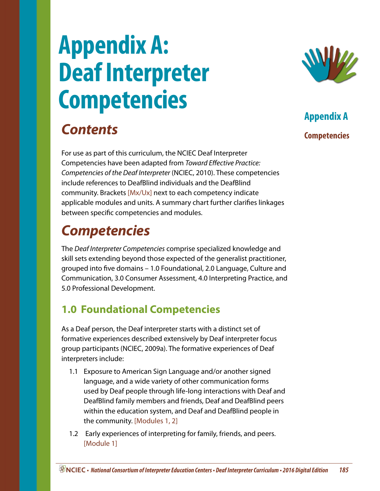# **Appendix A: Deaf Interpreter Competencies**

## *Contents*

For use as part of this curriculum, the NCIEC Deaf Interpreter Competencies have been adapted from *Toward Effective Practice: Competencies of the Deaf Interpreter* (NCIEC, 2010). These competencies include references to DeafBlind individuals and the DeafBlind community. Brackets [Mx/Ux] next to each competency indicate applicable modules and units. A summary chart further clarifies linkages between specific competencies and modules.

## *Competencies*

The *Deaf Interpreter Competencies* comprise specialized knowledge and skill sets extending beyond those expected of the generalist practitioner, grouped into five domains – 1.0 Foundational, 2.0 Language, Culture and Communication, 3.0 Consumer Assessment, 4.0 Interpreting Practice, and 5.0 Professional Development.

### **1.0 Foundational Competencies**

As a Deaf person, the Deaf interpreter starts with a distinct set of formative experiences described extensively by Deaf interpreter focus group participants (NCIEC, 2009a). The formative experiences of Deaf interpreters include:

- 1.1 Exposure to American Sign Language and/or another signed language, and a wide variety of other communication forms used by Deaf people through life-long interactions with Deaf and DeafBlind family members and friends, Deaf and DeafBlind peers within the education system, and Deaf and DeafBlind people in the community. [Modules 1, 2]
- 1.2 Early experiences of interpreting for family, friends, and peers. [Module 1]

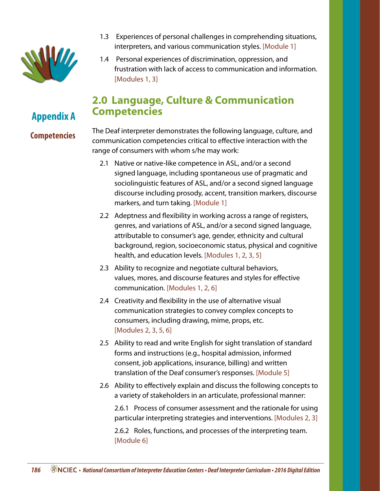

- 1.3 Experiences of personal challenges in comprehending situations, interpreters, and various communication styles. [Module 1]
- 1.4 Personal experiences of discrimination, oppression, and frustration with lack of access to communication and information. [Modules 1, 3]

#### **2.0 Language, Culture & Communication Competencies**

## **Appendix A**

#### **Competencies**

The Deaf interpreter demonstrates the following language, culture, and communication competencies critical to effective interaction with the range of consumers with whom s/he may work:

- 2.1 Native or native-like competence in ASL, and/or a second signed language, including spontaneous use of pragmatic and sociolinguistic features of ASL, and/or a second signed language discourse including prosody, accent, transition markers, discourse markers, and turn taking. [Module 1]
- 2.2 Adeptness and flexibility in working across a range of registers, genres, and variations of ASL, and/or a second signed language, attributable to consumer's age, gender, ethnicity and cultural background, region, socioeconomic status, physical and cognitive health, and education levels. [Modules 1, 2, 3, 5]
- 2.3 Ability to recognize and negotiate cultural behaviors, values, mores, and discourse features and styles for effective communication. [Modules 1, 2, 6]
- 2.4 Creativity and flexibility in the use of alternative visual communication strategies to convey complex concepts to consumers, including drawing, mime, props, etc. [Modules 2, 3, 5, 6]
- 2.5 Ability to read and write English for sight translation of standard forms and instructions (e.g., hospital admission, informed consent, job applications, insurance, billing) and written translation of the Deaf consumer's responses. [Module 5]
- 2.6 Ability to effectively explain and discuss the following concepts to a variety of stakeholders in an articulate, professional manner:

 2.6.1 Process of consumer assessment and the rationale for using particular interpreting strategies and interventions. [Modules 2, 3]

 2.6.2 Roles, functions, and processes of the interpreting team. [Module 6]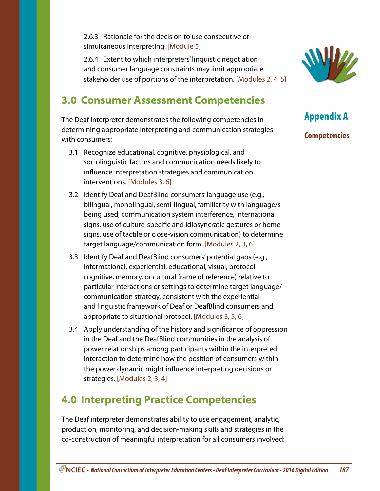2.6.3 Rationale for the decision to use consecutive or simultaneous interpreting. [Module 5]

 2.6.4 Extent to which interpreters' linguistic negotiation and consumer language constraints may limit appropriate stakeholder use of portions of the interpretation. [Modules 2, 4, 5]

#### **3.0 Consumer Assessment Competencies**

The Deaf interpreter demonstrates the following competencies in determining appropriate interpreting and communication strategies with consumers:

- 3.1 Recognize educational, cognitive, physiological, and sociolinguistic factors and communication needs likely to influence interpretation strategies and communication interventions. [Modules 3, 6]
- 3.2 Identify Deaf and DeafBlind consumers' language use (e.g., bilingual, monolingual, semi-lingual, familiarity with language/s being used, communication system interference, international signs, use of culture-specific and idiosyncratic gestures or home signs, use of tactile or close-vision communication) to determine target language/communication form. [Modules 2, 3, 6]
- 3.3 Identify Deaf and DeafBlind consumers' potential gaps (e.g., informational, experiential, educational, visual, protocol, cognitive, memory, or cultural frame of reference) relative to particular interactions or settings to determine target language/ communication strategy, consistent with the experiential and linguistic framework of Deaf or DeafBlind consumers and appropriate to situational protocol. [Modules 3, 5, 6]
- 3.4 Apply understanding of the history and significance of oppression in the Deaf and the DeafBlind communities in the analysis of power relationships among participants within the interpreted interaction to determine how the position of consumers within the power dynamic might influence interpreting decisions or strategies. [Modules 2, 3, 4]

#### **4.0 Interpreting Practice Competencies**

The Deaf interpreter demonstrates ability to use engagement, analytic, production, monitoring, and decision-making skills and strategies in the co-construction of meaningful interpretation for all consumers involved:

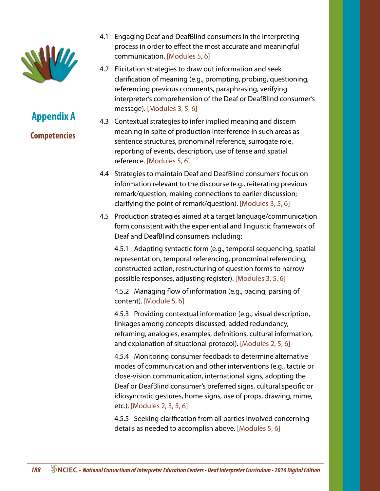

- 4.1 Engaging Deaf and DeafBlind consumers in the interpreting process in order to effect the most accurate and meaningful communication. [Modules 5, 6]
- 4.2 Elicitation strategies to draw out information and seek clarification of meaning (e.g., prompting, probing, questioning, referencing previous comments, paraphrasing, verifying interpreter's comprehension of the Deaf or DeafBlind consumer's message). [Modules 3, 5, 6]
- 4.3 Contextual strategies to infer implied meaning and discern meaning in spite of production interference in such areas as sentence structures, pronominal reference, surrogate role, reporting of events, description, use of tense and spatial reference. [Modules 5, 6]
- 4.4 Strategies to maintain Deaf and DeafBlind consumers' focus on information relevant to the discourse (e.g., reiterating previous remark/question, making connections to earlier discussion; clarifying the point of remark/question). [Modules 3, 5, 6]
- 4.5 Production strategies aimed at a target language/communication form consistent with the experiential and linguistic framework of Deaf and DeafBlind consumers including:

 4.5.1 Adapting syntactic form (e.g., temporal sequencing, spatial representation, temporal referencing, pronominal referencing, constructed action, restructuring of question forms to narrow possible responses, adjusting register). [Modules 3, 5, 6]

 4.5.2 Managing flow of information (e.g., pacing, parsing of content). [Module 5, 6]

 4.5.3 Providing contextual information (e.g., visual description, linkages among concepts discussed, added redundancy, reframing, analogies, examples, definitions, cultural information, and explanation of situational protocol). [Modules 2, 5, 6]

 4.5.4 Monitoring consumer feedback to determine alternative modes of communication and other interventions (e.g., tactile or close-vision communication, international signs, adopting the Deaf or DeafBlind consumer's preferred signs, cultural specific or idiosyncratic gestures, home signs, use of props, drawing, mime, etc.). [Modules 2, 3, 5, 6]

 4.5.5 Seeking clarification from all parties involved concerning details as needed to accomplish above. [Modules 5, 6]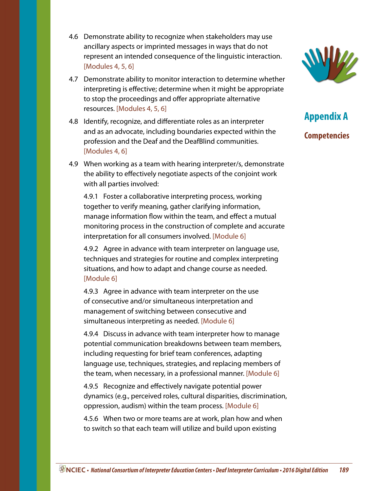- 4.6 Demonstrate ability to recognize when stakeholders may use ancillary aspects or imprinted messages in ways that do not represent an intended consequence of the linguistic interaction. [Modules 4, 5, 6]
- 4.7 Demonstrate ability to monitor interaction to determine whether interpreting is effective; determine when it might be appropriate to stop the proceedings and offer appropriate alternative resources. [Modules 4, 5, 6]
- 4.8 Identify, recognize, and differentiate roles as an interpreter and as an advocate, including boundaries expected within the profession and the Deaf and the DeafBlind communities. [Modules 4, 6]
- 4.9 When working as a team with hearing interpreter/s, demonstrate the ability to effectively negotiate aspects of the conjoint work with all parties involved:

 4.9.1 Foster a collaborative interpreting process, working together to verify meaning, gather clarifying information, manage information flow within the team, and effect a mutual monitoring process in the construction of complete and accurate interpretation for all consumers involved. [Module 6]

 4.9.2 Agree in advance with team interpreter on language use, techniques and strategies for routine and complex interpreting situations, and how to adapt and change course as needed. [Module 6]

 4.9.3 Agree in advance with team interpreter on the use of consecutive and/or simultaneous interpretation and management of switching between consecutive and simultaneous interpreting as needed. [Module 6]

 4.9.4 Discuss in advance with team interpreter how to manage potential communication breakdowns between team members, including requesting for brief team conferences, adapting language use, techniques, strategies, and replacing members of the team, when necessary, in a professional manner. [Module 6]

 4.9.5 Recognize and effectively navigate potential power dynamics (e.g., perceived roles, cultural disparities, discrimination, oppression, audism) within the team process. [Module 6]

 4.5.6 When two or more teams are at work, plan how and when to switch so that each team will utilize and build upon existing

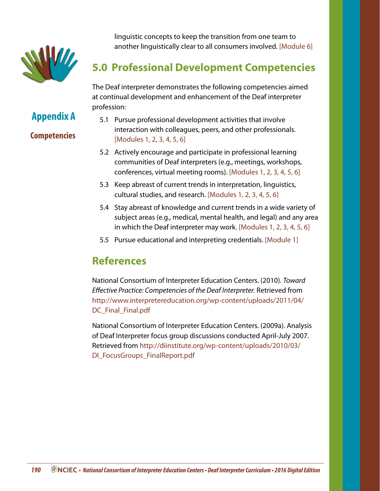

**Appendix A**

**Competencies**

linguistic concepts to keep the transition from one team to another linguistically clear to all consumers involved. [Module 6]

### **5.0 Professional Development Competencies**

The Deaf interpreter demonstrates the following competencies aimed at continual development and enhancement of the Deaf interpreter profession:

- 5.1 Pursue professional development activities that involve interaction with colleagues, peers, and other professionals. [Modules 1, 2, 3, 4, 5, 6]
- 5.2 Actively encourage and participate in professional learning communities of Deaf interpreters (e.g., meetings, workshops, conferences, virtual meeting rooms). [Modules 1, 2, 3, 4, 5, 6]
- 5.3 Keep abreast of current trends in interpretation, linguistics, cultural studies, and research. [Modules 1, 2, 3, 4, 5, 6]
- 5.4 Stay abreast of knowledge and current trends in a wide variety of subject areas (e.g., medical, mental health, and legal) and any area in which the Deaf interpreter may work. [Modules 1, 2, 3, 4, 5, 6]
- 5.5 Pursue educational and interpreting credentials. [Module 1]

#### **References**

National Consortium of Interpreter Education Centers. (2010). *Toward Effective Practice: Competencies of the Deaf Interpreter.* Retrieved from [http://www.interpretereducation.org/wp-content/uploads/2011/04/](http://www.interpretereducation.org/wp-content/uploads/2011/04/DC_Final_Final.pdf) [DC\\_Final\\_Final.pdf](http://www.interpretereducation.org/wp-content/uploads/2011/04/DC_Final_Final.pdf)

National Consortium of Interpreter Education Centers. (2009a). Analysis of Deaf Interpreter focus group discussions conducted April-July 2007. Retrieved from [http://diinstitute.org/wp-content/uploads/2010/03/](http://diinstitute.org/wp-content/uploads/2010/03/DI_FocusGroups_FinalReport.pdf) DI FocusGroups FinalReport.pdf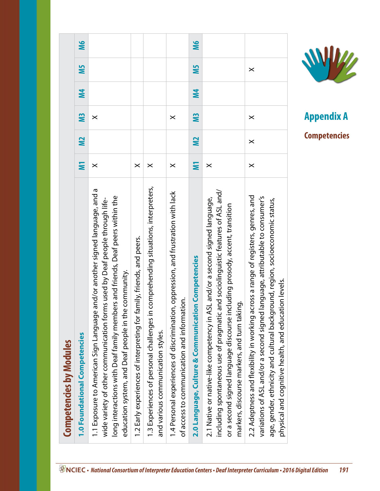| <b>Competencies by Modules</b>                                                                                                                                                                                                                                     |          |           |                |           |            |           |
|--------------------------------------------------------------------------------------------------------------------------------------------------------------------------------------------------------------------------------------------------------------------|----------|-----------|----------------|-----------|------------|-----------|
|                                                                                                                                                                                                                                                                    | Ξ        | <b>M2</b> | <b>M3</b>      | <b>M4</b> | <b>NIS</b> | <b>M6</b> |
| and/or another signed language, and a<br>long interactions with Deaf family members and friends, Deaf peers within the<br>wide variety of other communication forms used by Deaf people through life-<br>education system, and Deaf people in the community.       | $\times$ |           | $\times$       |           |            |           |
| 1.2 Early experiences of interpreting for family, friends, and peers.                                                                                                                                                                                              | $\times$ |           |                |           |            |           |
| 1.3 Experiences of personal challenges in comprehending situations, interpreters,                                                                                                                                                                                  | $\times$ |           |                |           |            |           |
| 1.4 Personal experiences of discrimination, oppression, and frustration with lack                                                                                                                                                                                  | $\times$ |           | $\times$       |           |            |           |
| 2.0 Language, Culture & Communication Competencies                                                                                                                                                                                                                 | Σ        | <u>N2</u> | M <sub>3</sub> | <b>M4</b> | <b>NIS</b> | <b>M6</b> |
| including spontaneous use of pragmatic and sociolinguistic features of ASL and/<br>2.1 Native or native-like competency in ASL and/or a second signed language,<br>or a second signed language discourse including prosody, accent, transition                     | $\times$ |           |                |           |            |           |
| 2.2 Adeptness and flexibility in working across a range of registers, genres, and<br>language, attributable to consumer's<br>age, gender, ethnicity and cultural background, region, socioeconomic status,<br>physical and cognitive health, and education levels. | $\times$ | $\times$  | $\times$       |           | $\times$   |           |



**Appendix A Competencies**

 *• National Consortium of Interpreter Education Centers • Deaf Interpreter Curriculum • 2016 Digital Edition 191*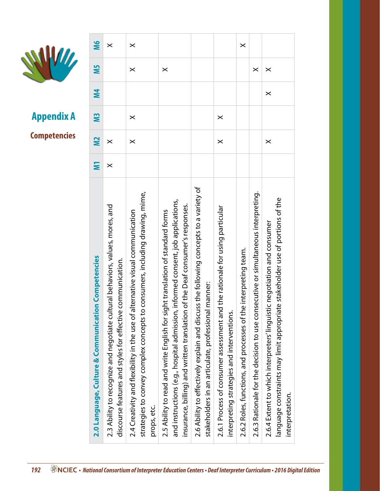

|                                                                                                                                                                                                                                                         |                | <b>Competencies</b> | <b>Appendix A</b> |           | VII                   |                       |
|---------------------------------------------------------------------------------------------------------------------------------------------------------------------------------------------------------------------------------------------------------|----------------|---------------------|-------------------|-----------|-----------------------|-----------------------|
| n Competencies<br>2.0 Language, Culture & Communicatio                                                                                                                                                                                                  | Ξ              | <b>N</b>            | SW                | <b>M4</b> | S                     | <b>SM</b>             |
| 2.3 Ability to recognize and negotiate cultural behaviors, values, mores, and<br>communication.<br>discourse features and styles for effective                                                                                                          | $\pmb{\times}$ | $\pmb{\times}$      |                   |           |                       | $\pmb{\times}$        |
| consumers, including drawing, mime,<br>2.4 Creativity and flexibility in the use of alternative visual communication<br>strategies to convey complex concepts to<br>props, etc.                                                                         |                | $\times$            | $\times$          |           | $\boldsymbol{\times}$ | $\boldsymbol{\times}$ |
| informed consent, job applications,<br>of the Deaf consumer's responses.<br>2.5 Ability to read and write English for sight translation of standard forms<br>and instructions (e.g., hospital admission,<br>insurance, billing) and written translation |                |                     |                   |           | $\times$              |                       |
| ss the following concepts to a variety of<br>manner:<br>2.6 Ability to effectively explain and discu<br>stakeholders in an articulate, professional                                                                                                     |                |                     |                   |           |                       |                       |
| 2.6.1 Process of consumer assessment and the rationale for using particular<br>interpreting strategies and interventions.                                                                                                                               |                | $\pmb{\times}$      | $\times$          |           |                       |                       |
| e interpreting team.<br>2.6.2 Roles, functions, and processes of th                                                                                                                                                                                     |                |                     |                   |           |                       | $\times$              |
| secutive or simultaneous interpreting.<br>2.6.3 Rationale for the decision to use con                                                                                                                                                                   |                |                     |                   |           | $\times$              |                       |
| re stakeholder use of portions of the<br>2.6.4 Extent to which interpreters' linguistic negotiation and consumer<br>language constraints may limit appropriat<br>interpretation.                                                                        |                | $\pmb{\times}$      |                   | $\times$  | $\times$              |                       |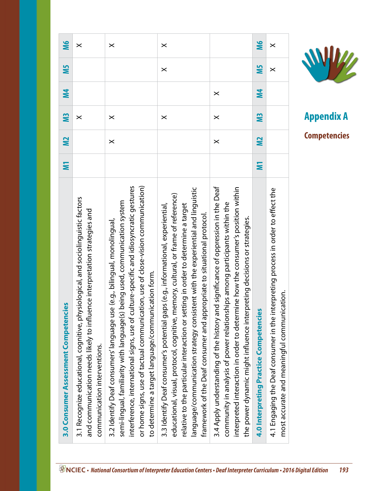|                                                                                                                                                                                                                                                                                                                                | $\times$                                                                                                                                                                                                                                                                                                                             | $\boldsymbol{\times}$                                                                                                                                                                                                                                                                                                                                                                        | $\times$                                                                                                                                                                                      | <b>M6</b>                            |
|--------------------------------------------------------------------------------------------------------------------------------------------------------------------------------------------------------------------------------------------------------------------------------------------------------------------------------|--------------------------------------------------------------------------------------------------------------------------------------------------------------------------------------------------------------------------------------------------------------------------------------------------------------------------------------|----------------------------------------------------------------------------------------------------------------------------------------------------------------------------------------------------------------------------------------------------------------------------------------------------------------------------------------------------------------------------------------------|-----------------------------------------------------------------------------------------------------------------------------------------------------------------------------------------------|--------------------------------------|
|                                                                                                                                                                                                                                                                                                                                |                                                                                                                                                                                                                                                                                                                                      |                                                                                                                                                                                                                                                                                                                                                                                              |                                                                                                                                                                                               | <b>NIS</b>                           |
|                                                                                                                                                                                                                                                                                                                                |                                                                                                                                                                                                                                                                                                                                      |                                                                                                                                                                                                                                                                                                                                                                                              |                                                                                                                                                                                               |                                      |
|                                                                                                                                                                                                                                                                                                                                |                                                                                                                                                                                                                                                                                                                                      |                                                                                                                                                                                                                                                                                                                                                                                              |                                                                                                                                                                                               | M4                                   |
| $\times$                                                                                                                                                                                                                                                                                                                       |                                                                                                                                                                                                                                                                                                                                      | $\times$                                                                                                                                                                                                                                                                                                                                                                                     | $\times$                                                                                                                                                                                      | <b>M3</b>                            |
| $\times$                                                                                                                                                                                                                                                                                                                       |                                                                                                                                                                                                                                                                                                                                      | $\times$                                                                                                                                                                                                                                                                                                                                                                                     |                                                                                                                                                                                               | <b>M2</b>                            |
|                                                                                                                                                                                                                                                                                                                                |                                                                                                                                                                                                                                                                                                                                      |                                                                                                                                                                                                                                                                                                                                                                                              |                                                                                                                                                                                               | Ξ                                    |
| 3.4 Apply understanding of the history and significance of oppression in the Deaf<br>interpreted interaction in order to determine how the consumer's position within<br>community in analysis of power relationships among participants within the<br>the power dynamic might influence interpreting decisions or strategies. | language/communication strategy consistent with the experiential and linguistic<br>educational, visual, protocol, cognitive, memory, cultural, or frame of reference)<br>relative to the particular interaction or setting in order to determine a target<br>framework of the Deaf consumer and appropriate to situational protocol. | interference, international signs, use of culture-specific and idiosyncratic gestures<br>or home signs, use of tactual communication, use of close-vision communication)<br>being used, communication system<br>3.2 Identify Deaf consumers' language use (e.g., bilingual, monolingual,<br>to determine a target language/communication form.<br>semi-lingual, familiarity with language(s) | 3.1 Recognize educational, cognitive, physiological, and sociolinguistic factors<br>and communication needs likely to influence interpretation strategies and<br>communication interventions. | 3.0 Consumer Assessment Competencies |
|                                                                                                                                                                                                                                                                                                                                | $\times$                                                                                                                                                                                                                                                                                                                             | $\times$<br>$\times$<br>3.3 Identify Deaf consumer's potential gaps (e.g., informational, experiential,                                                                                                                                                                                                                                                                                      |                                                                                                                                                                                               |                                      |

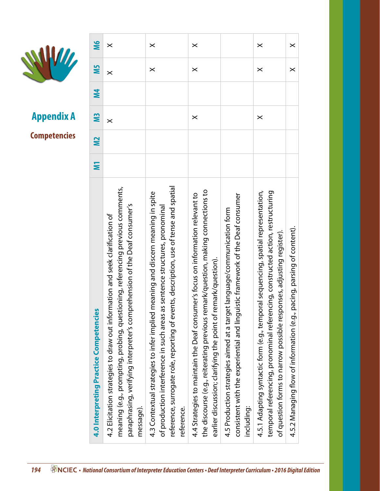

| <b>Appendix A</b><br><b>Competencies</b> | <b>M4</b><br>SW<br>$\tilde{=}$<br>Ε    | $\times$<br>meaning (e.g., prompting, probing, referencing previous comments,<br>paraphrasing, verifying interpreter's comprehension of the Deaf consumer's | reference, surrogate role, reporting of events, description, use of tense and spatial<br>meaning and discern meaning in spite<br>is sentence structures, pronominal | $\times$<br>the discourse (e.g., reiterating previous remark/question, making connections to<br>4.4 Strategies to maintain the Deaf consumer's focus on information relevant to | consistent with the experiential and linguistic framework of the Deaf consumer        | $\times$<br>4.5.1 Adapting syntactic form (e.g., temporal sequencing, spatial representation,<br>temporal referencing, pronominal referencing, constructed action, restructuring | pacing, parsing of content).              |
|------------------------------------------|----------------------------------------|-------------------------------------------------------------------------------------------------------------------------------------------------------------|---------------------------------------------------------------------------------------------------------------------------------------------------------------------|---------------------------------------------------------------------------------------------------------------------------------------------------------------------------------|---------------------------------------------------------------------------------------|----------------------------------------------------------------------------------------------------------------------------------------------------------------------------------|-------------------------------------------|
|                                          | 4.0 Interpreting Practice Competencies | 4.2 Elicitation strategies to draw out information and seek clarification of<br>message).                                                                   | of production interference in such areas a<br>4.3 Contextual strategies to infer implied<br>reference.                                                              | earlier discussion; clarifying the point of remark/question).                                                                                                                   | 4.5 Production strategies aimed at a target language/communication form<br>including: | of question forms to narrow possible responses, adjusting register).                                                                                                             | 4.5.2 Managing flow of information (e.g., |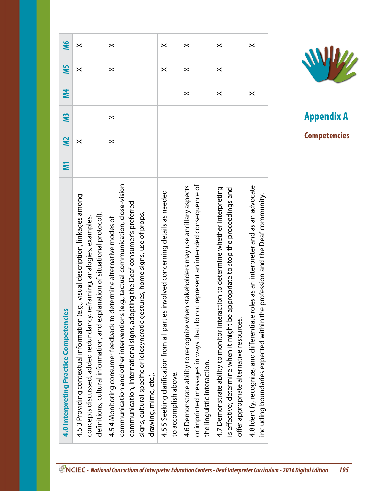| 4.0 Interpreting Practice Competencies                                                                                                                                                                                                                                                                                                              | Ξ | <b>N2</b> | M <sub>3</sub> | <b>M4</b>             | <b>NS</b>             | <b>M6</b>             |
|-----------------------------------------------------------------------------------------------------------------------------------------------------------------------------------------------------------------------------------------------------------------------------------------------------------------------------------------------------|---|-----------|----------------|-----------------------|-----------------------|-----------------------|
| 4.5.3 Providing contextual information (e.g., visual description, linkages among<br>definitions, cultural information, and explanation of situational protocol).<br>reframing, analogies, examples,<br>concepts discussed, added redundancy, I                                                                                                      |   | $\times$  |                |                       | $\boldsymbol{\times}$ | $\times$              |
| (e.g., tactual communication, close-vision<br>communication, international signs, adopting the Deaf consumer's preferred<br>signs, cultural specific or idiosyncratic gestures, home signs, use of props,<br>4.5.4 Monitoring consumer feedback to determine alternative modes of<br>communication and other interventions<br>drawing, mime, etc.). |   | $\times$  | $\times$       |                       | $\boldsymbol{\times}$ | $\times$              |
| involved concerning details as needed<br>4.5.5 Seeking clarification from all parties<br>to accomplish above.                                                                                                                                                                                                                                       |   |           |                |                       | $\boldsymbol{\times}$ | $\times$              |
| or imprinted messages in ways that do not represent an intended consequence of<br>4.6 Demonstrate ability to recognize when stakeholders may use ancillary aspects<br>the linguistic interaction.                                                                                                                                                   |   |           |                | $\boldsymbol{\times}$ | $\times$              | $\times$              |
| ction to determine whether interpreting<br>is effective; determine when it might be appropriate to stop the proceedings and<br>4.7 Demonstrate ability to monitor intera<br>offer appropriate alternative resources.                                                                                                                                |   |           |                | $\boldsymbol{\times}$ | $\boldsymbol{\times}$ | $\boldsymbol{\times}$ |
| 4.8 Identify, recognize, and differentiate roles as an interpreter and as an advocate<br>including boundaries expected within the profession and the Deaf community.                                                                                                                                                                                |   |           |                | $\boldsymbol{\times}$ |                       | $\boldsymbol{\times}$ |



 *• National Consortium of Interpreter Education Centers • Deaf Interpreter Curriculum • 2016 Digital Edition 195*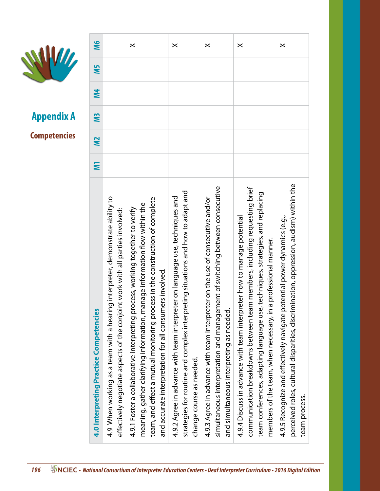

|                     | <b>M6</b>                              |                                                                                                                                                                    | $\times$                                                                                                                                                                                                                                                                                               | $\times$                                                                                                                                                                                    | $\times$                                                                                                                                                                                                      | $\times$                                                                                                                                                                                                                                                                                                       | $\times$                                                                                                                                                                           |
|---------------------|----------------------------------------|--------------------------------------------------------------------------------------------------------------------------------------------------------------------|--------------------------------------------------------------------------------------------------------------------------------------------------------------------------------------------------------------------------------------------------------------------------------------------------------|---------------------------------------------------------------------------------------------------------------------------------------------------------------------------------------------|---------------------------------------------------------------------------------------------------------------------------------------------------------------------------------------------------------------|----------------------------------------------------------------------------------------------------------------------------------------------------------------------------------------------------------------------------------------------------------------------------------------------------------------|------------------------------------------------------------------------------------------------------------------------------------------------------------------------------------|
|                     | SW                                     |                                                                                                                                                                    |                                                                                                                                                                                                                                                                                                        |                                                                                                                                                                                             |                                                                                                                                                                                                               |                                                                                                                                                                                                                                                                                                                |                                                                                                                                                                                    |
|                     | <b>M4</b>                              |                                                                                                                                                                    |                                                                                                                                                                                                                                                                                                        |                                                                                                                                                                                             |                                                                                                                                                                                                               |                                                                                                                                                                                                                                                                                                                |                                                                                                                                                                                    |
| <b>Appendix A</b>   | SW                                     |                                                                                                                                                                    |                                                                                                                                                                                                                                                                                                        |                                                                                                                                                                                             |                                                                                                                                                                                                               |                                                                                                                                                                                                                                                                                                                |                                                                                                                                                                                    |
| <b>Competencies</b> | $\tilde{=}$                            |                                                                                                                                                                    |                                                                                                                                                                                                                                                                                                        |                                                                                                                                                                                             |                                                                                                                                                                                                               |                                                                                                                                                                                                                                                                                                                |                                                                                                                                                                                    |
|                     | Ξ                                      |                                                                                                                                                                    |                                                                                                                                                                                                                                                                                                        |                                                                                                                                                                                             |                                                                                                                                                                                                               |                                                                                                                                                                                                                                                                                                                |                                                                                                                                                                                    |
|                     | 4.0 Interpreting Practice Competencies | 4.9 When working as a team with a hearing interpreter, demonstrate ability to<br>nt work with all parties involved:<br>effectively negotiate aspects of the conjoi | team, and effect a mutual monitoring process in the construction of complete<br>meaning, gather clarifying information, manage information flow within the<br>4.9.1 Foster a collaborative interpreting process, working together to verify<br>and accurate interpretation for all consumers involved. | strategies for routine and complex interpreting situations and how to adapt and<br>4.9.2 Agree in advance with team interpreter on language use, techniques and<br>change course as needed. | ment of switching between consecutive<br>4.9.3 Agree in advance with team interpreter on the use of consecutive and/or<br>and simultaneous interpreting as needed.<br>simultaneous interpretation and manager | communication breakdowns between team members, including requesting brief<br>team conferences, adapting language use, techniques, strategies, and replacing<br>eter how to manage potential<br>a professional manner.<br>4.9.4 Discuss in advance with team interpr<br>members of the team, when necessary, in | perceived roles, cultural disparities, discrimination, oppression, audism) within the<br>4.9.5 Recognize and effectively navigate potential power dynamics (e.g.,<br>team process. |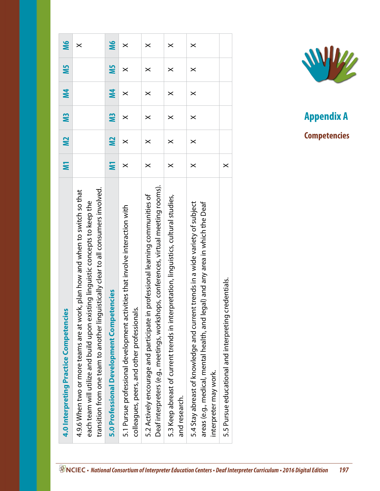| 4.0 Interpreting Practice Competencies                                                                                                                                                                                                                 | Σ                     | <b>N2</b>    | <b>M3</b>      | <b>N4</b>      | <b>SIN</b>            | <b>M6</b>             |
|--------------------------------------------------------------------------------------------------------------------------------------------------------------------------------------------------------------------------------------------------------|-----------------------|--------------|----------------|----------------|-----------------------|-----------------------|
| transition from one team to another linguistically clear to all consumers involved.<br>4.9.6 When two or more teams are at work, plan how and when to switch so that<br>each team will utilize and build upon existing linguistic concepts to keep the |                       |              |                |                |                       | $\boldsymbol{\times}$ |
| 5.0 Professional Development Competencies                                                                                                                                                                                                              | Ξ                     | $\mathbf{z}$ | N <sub>3</sub> | M <sub>4</sub> | ΜŚ                    | <b>M6</b>             |
| 5.1 Pursue professional development activities that involve interaction with<br>colleagues, peers, and other professionals.                                                                                                                            | $\boldsymbol{\times}$ | ×            | $\pmb{\times}$ | $\times$       | ×                     | ×                     |
| Deaf interpreters (e.g., meetings, workshops, conferences, virtual meeting rooms).<br>5.2 Actively encourage and participate in professional learning communities of                                                                                   | $\times$              | $\times$     | $\times$       | $\times$       | $\boldsymbol{\times}$ | $\times$              |
| 5.3 Keep abreast of current trends in interpretation, linguistics, cultural studies,<br>and research.                                                                                                                                                  | $\times$              | $\times$     | $\times$       | $\times$       | $\boldsymbol{\times}$ | $\boldsymbol{\times}$ |
| 5.4 Stay abreast of knowledge and current trends in a wide variety of subject<br>areas (e.g., medical, mental health, and legal) and any area in which the Deaf<br>interpreter may work.                                                               | $\times$              | $\times$     | $\times$       | $\times$       | $\boldsymbol{\times}$ | $\times$              |
| 5.5 Pursue educational and interpreting credentials.                                                                                                                                                                                                   | $\times$              |              |                |                |                       |                       |